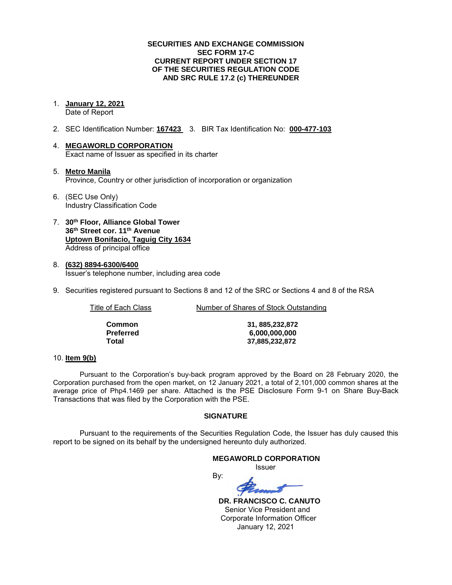### **SECURITIES AND EXCHANGE COMMISSION SEC FORM 17-C CURRENT REPORT UNDER SECTION 17 OF THE SECURITIES REGULATION CODE AND SRC RULE 17.2 (c) THEREUNDER**

- 1. **January 12, 2021**  Date of Report
- 2. SEC Identification Number: **167423** 3. BIR Tax Identification No: **000-477-103**
- 4. **MEGAWORLD CORPORATION**  Exact name of Issuer as specified in its charter
- 5. **Metro Manila** Province, Country or other jurisdiction of incorporation or organization
- 6. (SEC Use Only) Industry Classification Code
- 7. **30th Floor, Alliance Global Tower 36th Street cor. 11th Avenue Uptown Bonifacio, Taguig City 1634** Address of principal office
- 8. **(632) 8894-6300/6400**  Issuer's telephone number, including area code
- 9. Securities registered pursuant to Sections 8 and 12 of the SRC or Sections 4 and 8 of the RSA

Title of Each Class Number of Shares of Stock Outstanding

| Common    |
|-----------|
| Preferred |
| Total     |

**Common 31, 885,232,872 Preferred 6,000,000,000 Total 37,885,232,872**

### 10. **Item 9(b)**

Pursuant to the Corporation's buy-back program approved by the Board on 28 February 2020, the Corporation purchased from the open market, on 12 January 2021, a total of 2,101,000 common shares at the average price of Php4.1469 per share. Attached is the PSE Disclosure Form 9-1 on Share Buy-Back Transactions that was filed by the Corporation with the PSE.

### **SIGNATURE**

Pursuant to the requirements of the Securities Regulation Code, the Issuer has duly caused this report to be signed on its behalf by the undersigned hereunto duly authorized.

### **MEGAWORLD CORPORATION**

*<u>Issuer</u> Issuer Issuer* 

By:

 **DR. FRANCISCO C. CANUTO**  Senior Vice President and Corporate Information Officer January 12, 2021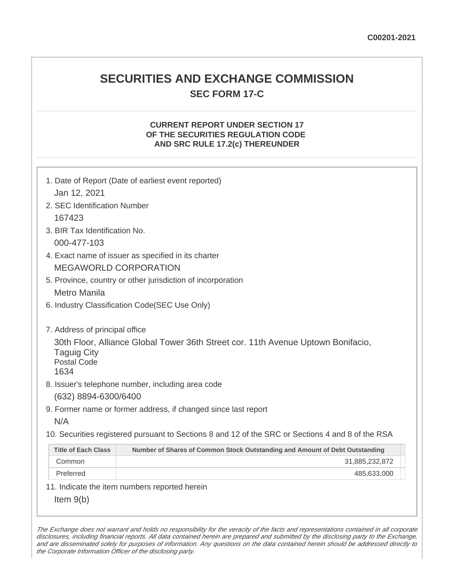## **SECURITIES AND EXCHANGE COMMISSION SEC FORM 17-C**

## **CURRENT REPORT UNDER SECTION 17 OF THE SECURITIES REGULATION CODE AND SRC RULE 17.2(c) THEREUNDER**

| Jan 12, 2021                                                                       | 1. Date of Report (Date of earliest event reported)                                                                                   |
|------------------------------------------------------------------------------------|---------------------------------------------------------------------------------------------------------------------------------------|
| 2. SEC Identification Number                                                       |                                                                                                                                       |
| 167423                                                                             |                                                                                                                                       |
| 3. BIR Tax Identification No.                                                      |                                                                                                                                       |
| 000-477-103                                                                        |                                                                                                                                       |
|                                                                                    | 4. Exact name of issuer as specified in its charter                                                                                   |
|                                                                                    | <b>MEGAWORLD CORPORATION</b>                                                                                                          |
|                                                                                    | 5. Province, country or other jurisdiction of incorporation                                                                           |
| <b>Metro Manila</b>                                                                |                                                                                                                                       |
|                                                                                    | 6. Industry Classification Code(SEC Use Only)                                                                                         |
| 7. Address of principal office<br><b>Taguig City</b><br><b>Postal Code</b><br>1634 | 30th Floor, Alliance Global Tower 36th Street cor. 11th Avenue Uptown Bonifacio,<br>8. Issuer's telephone number, including area code |
| (632) 8894-6300/6400                                                               |                                                                                                                                       |
|                                                                                    | 9. Former name or former address, if changed since last report                                                                        |
| N/A                                                                                |                                                                                                                                       |
|                                                                                    | 10. Securities registered pursuant to Sections 8 and 12 of the SRC or Sections 4 and 8 of the RSA                                     |
| <b>Title of Each Class</b>                                                         | Number of Shares of Common Stock Outstanding and Amount of Debt Outstanding                                                           |
| Common                                                                             | 31,885,232,872                                                                                                                        |
| Preferred                                                                          | 485,633,000                                                                                                                           |
|                                                                                    | 11. Indicate the item numbers reported herein                                                                                         |
| Item $9(b)$                                                                        |                                                                                                                                       |

The Exchange does not warrant and holds no responsibility for the veracity of the facts and representations contained in all corporate disclosures, including financial reports. All data contained herein are prepared and submitted by the disclosing party to the Exchange, and are disseminated solely for purposes of information. Any questions on the data contained herein should be addressed directly to the Corporate Information Officer of the disclosing party.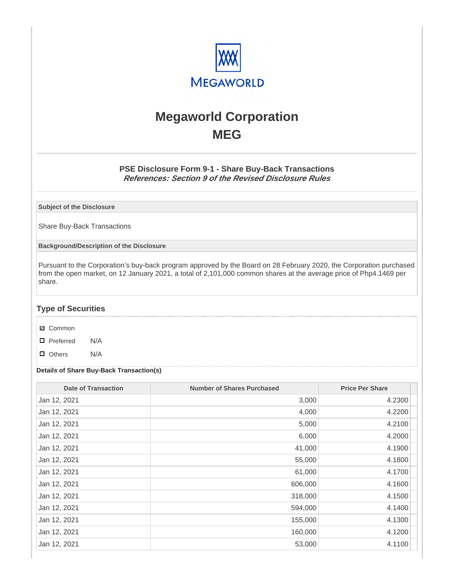

# **Megaworld Corporation MEG**

## **PSE Disclosure Form 9-1 - Share Buy-Back Transactions References: Section 9 of the Revised Disclosure Rules**

**Subject of the Disclosure**

Share Buy-Back Transactions

**Background/Description of the Disclosure**

Pursuant to the Corporation's buy-back program approved by the Board on 28 February 2020, the Corporation purchased from the open market, on 12 January 2021, a total of 2,101,000 common shares at the average price of Php4.1469 per share.

### **Type of Securities**

- **☑** Common
- □ Preferred N/A
- D Others N/A

### **Details of Share Buy-Back Transaction(s)**

| <b>Date of Transaction</b> | <b>Number of Shares Purchased</b> | <b>Price Per Share</b> |
|----------------------------|-----------------------------------|------------------------|
| Jan 12, 2021               | 3,000                             | 4.2300                 |
| Jan 12, 2021               | 4,000                             | 4.2200                 |
| Jan 12, 2021               | 5,000                             | 4.2100                 |
| Jan 12, 2021               | 6,000                             | 4.2000                 |
| Jan 12, 2021               | 41,000                            | 4.1900                 |
| Jan 12, 2021               | 55,000                            | 4.1800                 |
| Jan 12, 2021               | 61,000                            | 4.1700                 |
| Jan 12, 2021               | 606,000                           | 4.1600                 |
| Jan 12, 2021               | 318,000                           | 4.1500                 |
| Jan 12, 2021               | 594,000                           | 4.1400                 |
| Jan 12, 2021               | 155,000                           | 4.1300                 |
| Jan 12, 2021               | 160,000                           | 4.1200                 |
| Jan 12, 2021               | 53,000                            | 4.1100                 |